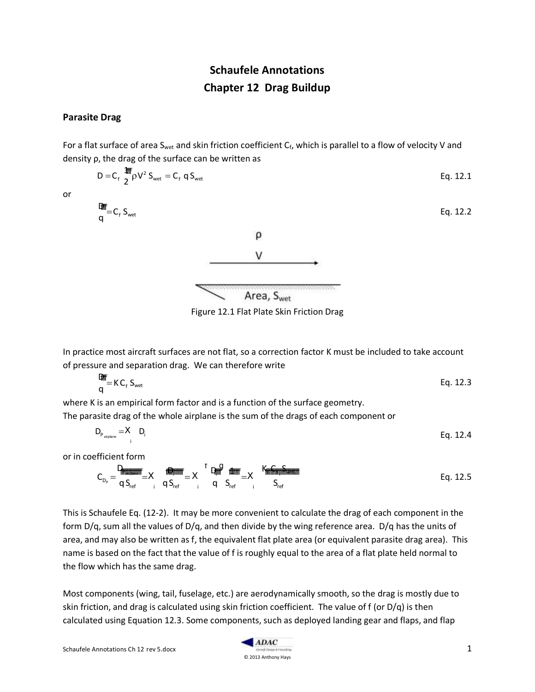# **Schaufele Annotations Chapter 12 Drag Buildup**

## **Parasite Drag**

For a flat surface of area S<sub>wet</sub> and skin friction coefficient  $C_f$ , which is parallel to a flow of velocity V and density ρ, the drag of the surface can be written as

$$
D = C_f \frac{1}{2} \int_{\text{m}}^{\text{m}} \rho V^2 S_{\text{wet}} = C_f q S_{\text{wet}}
$$
 Eq. 12.1

or

D  $q$ <sup>-HII</sup>=C<sub>f</sub> S<sub>wet</sub>



Figure 12.1 Flat Plate Skin Friction Drag

In practice most aircraft surfaces are not flat, so a correction factor K must be included to take account of pressure and separation drag. We can therefore write

$$
\frac{D_{\text{H}}}{q} = K C_f S_{\text{wet}} \tag{Eq. 12.3}
$$

where K is an empirical form factor and is a function of the surface geometry. The parasite drag of the whole airplane is the sum of the drags of each component or

 $D_{P_{\text{airplane}}} = X \quad D_{P_{\text{airplane}}}$ i Eq. 12.4

or in coefficient form

CDP D<sup>P</sup>airplane qSref f <sup>X</sup> i Di qSref f <sup>X</sup> i Di q f f g 1 Sref f <sup>X</sup> i K<sup>i</sup> C<sup>f</sup> i Swet i Sref f Eq. 12.5

This is Schaufele Eq. (12-2). It may be more convenient to calculate the drag of each component in the form D/q, sum all the values of D/q, and then divide by the wing reference area. D/q has the units of area, and may also be written as f, the equivalent flat plate area (or equivalent parasite drag area). This name is based on the fact that the value of f is roughly equal to the area of a flat plate held normal to the flow which has the same drag.

Most components (wing, tail, fuselage, etc.) are aerodynamically smooth, so the drag is mostly due to skin friction, and drag is calculated using skin friction coefficient. The value of f (or D/q) is then calculated using Equation 12.3. Some components, such as deployed landing gear and flaps, and flap



Eq. 12.2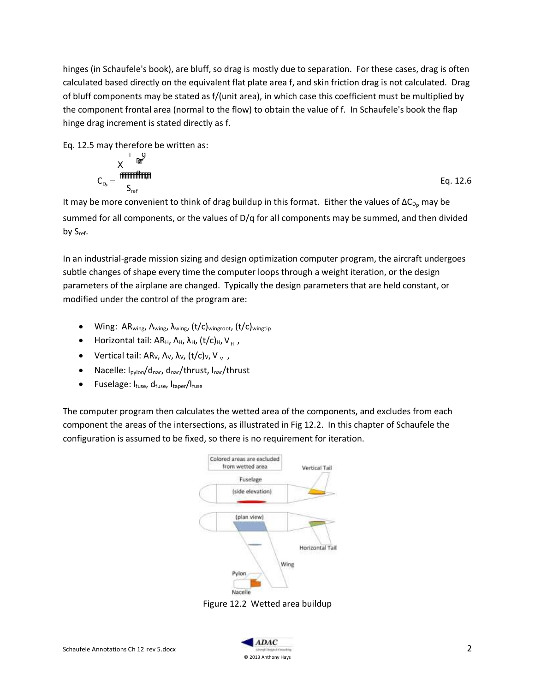hinges (in Schaufele's book), are bluff, so drag is mostly due to separation. For these cases, drag is often calculated based directly on the equivalent flat plate area f, and skin friction drag is not calculated. Drag of bluff components may be stated as f/(unit area), in which case this coefficient must be multiplied by the component frontal area (normal to the flow) to obtain the value of f. In Schaufele's book the flap hinge drag increment is stated directly as f.

Eq. 12.5 may therefore be written as:

$$
C_{D_p} = \frac{X^{\text{max}}}{S_{\text{ref}}} \tag{Eq. 12.6}
$$

It may be more convenient to think of drag buildup in this format. Either the values of  $\Delta C_{D_p}$  may be summed for all components, or the values of D/q for all components may be summed, and then divided by S<sub>ref</sub>.

In an industrial-grade mission sizing and design optimization computer program, the aircraft undergoes subtle changes of shape every time the computer loops through a weight iteration, or the design parameters of the airplane are changed. Typically the design parameters that are held constant, or modified under the control of the program are:

- Wing: AR<sub>wing</sub>, Λ<sub>wing</sub>, λ<sub>wing</sub>, (t/c)<sub>wingroot</sub>, (t/c)<sub>wingtip</sub>
- Horizontal tail: AR<sub>H</sub>, Λ<sub>H</sub>, λ<sub>H</sub>, (t/c)<sub>H</sub>, V<sub>H</sub>,
- Vertical tail: AR<sub>V</sub>,  $\Lambda_{\vee}$ ,  $\lambda_{\vee}$ ,  $(t/c)_{\vee}$ , V<sub>v</sub>,
- Nacelle:  $I_{\text{pvlon}}/d_{\text{nac}}$ ,  $d_{\text{nac}}/$ thrust,  $I_{\text{nac}}/$ thrust
- $\bullet$  Fuselage:  $I_{\text{fuse}}$ ,  $d_{\text{fuse}}$ ,  $I_{\text{target}}/I_{\text{fuse}}$

The computer program then calculates the wetted area of the components, and excludes from each component the areas of the intersections, as illustrated in Fig 12.2. In this chapter of Schaufele the configuration is assumed to be fixed, so there is no requirement for iteration.



Figure 12.2 Wetted area buildup

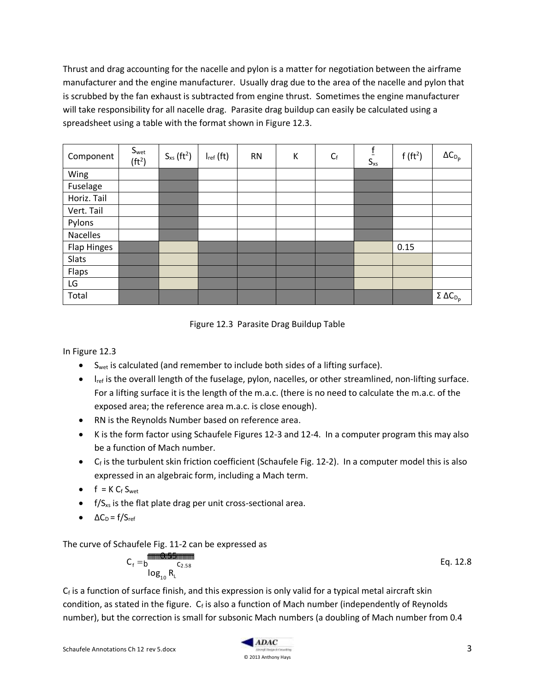Thrust and drag accounting for the nacelle and pylon is a matter for negotiation between the airframe manufacturer and the engine manufacturer. Usually drag due to the area of the nacelle and pylon that is scrubbed by the fan exhaust is subtracted from engine thrust. Sometimes the engine manufacturer will take responsibility for all nacelle drag. Parasite drag buildup can easily be calculated using a spreadsheet using a table with the format shown in Figure 12.3.

| Component       | S <sub>wet</sub><br>(ft <sup>2</sup> ) | $S_{xs}$ (ft <sup>2</sup> ) | $I_{ref}$ (ft) | <b>RN</b> | К | $C_f$ | $f_{\rm}$<br>$S_{\rm xs}$ | $f(f t^2)$ | $\Delta C_{D_p}$                     |
|-----------------|----------------------------------------|-----------------------------|----------------|-----------|---|-------|---------------------------|------------|--------------------------------------|
| Wing            |                                        |                             |                |           |   |       |                           |            |                                      |
| Fuselage        |                                        |                             |                |           |   |       |                           |            |                                      |
| Horiz. Tail     |                                        |                             |                |           |   |       |                           |            |                                      |
| Vert. Tail      |                                        |                             |                |           |   |       |                           |            |                                      |
| Pylons          |                                        |                             |                |           |   |       |                           |            |                                      |
| <b>Nacelles</b> |                                        |                             |                |           |   |       |                           |            |                                      |
| Flap Hinges     |                                        |                             |                |           |   |       |                           | 0.15       |                                      |
| Slats           |                                        |                             |                |           |   |       |                           |            |                                      |
| Flaps           |                                        |                             |                |           |   |       |                           |            |                                      |
| LG              |                                        |                             |                |           |   |       |                           |            |                                      |
| Total           |                                        |                             |                |           |   |       |                           |            | $\sum$ Σ ΔC <sub>D<sub>p</sub></sub> |



In Figure 12.3

- $\bullet$  S<sub>wet</sub> is calculated (and remember to include both sides of a lifting surface).
- $\bullet$  l<sub>ref</sub> is the overall length of the fuselage, pylon, nacelles, or other streamlined, non-lifting surface. For a lifting surface it is the length of the m.a.c. (there is no need to calculate the m.a.c. of the exposed area; the reference area m.a.c. is close enough).
- RN is the Reynolds Number based on reference area.
- K is the form factor using Schaufele Figures 12-3 and 12-4. In a computer program this may also be a function of Mach number.
- C<sub>f</sub> is the turbulent skin friction coefficient (Schaufele Fig. 12-2). In a computer model this is also expressed in an algebraic form, including a Mach term.
- $f = K C_f S_{wet}$
- $\bullet$  f/S<sub>xs</sub> is the flat plate drag per unit cross-sectional area.
- $\triangle C_{\text{D}} = f/S_{\text{ref}}$

The curve of Schaufele Fig. 11-2 can be expressed as

$$
C_f = \text{log}_{10} \frac{\text{min} \cdot \text{min} \cdot \text{min}}{\text{log}_{10} \cdot \text{R}_L}
$$

Eq. 12.8

 $C_f$  is a function of surface finish, and this expression is only valid for a typical metal aircraft skin condition, as stated in the figure.  $C_f$  is also a function of Mach number (independently of Reynolds number), but the correction is small for subsonic Mach numbers (a doubling of Mach number from 0.4

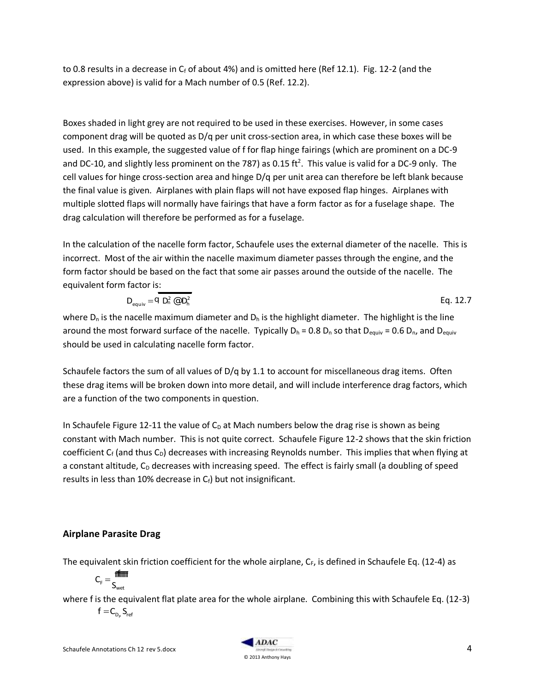to 0.8 results in a decrease in  $C_f$  of about 4%) and is omitted here (Ref 12.1). Fig. 12-2 (and the expression above) is valid for a Mach number of 0.5 (Ref. 12.2).

Boxes shaded in light grey are not required to be used in these exercises. However, in some cases component drag will be quoted as D/q per unit cross-section area, in which case these boxes will be used. In this example, the suggested value of f for flap hinge fairings (which are prominent on a DC-9 and DC-10, and slightly less prominent on the 787) as 0.15 ft<sup>2</sup>. This value is valid for a DC-9 only. The cell values for hinge cross-section area and hinge D/q per unit area can therefore be left blank because the final value is given. Airplanes with plain flaps will not have exposed flap hinges. Airplanes with multiple slotted flaps will normally have fairings that have a form factor as for a fuselage shape. The drag calculation will therefore be performed as for a fuselage.

In the calculation of the nacelle form factor, Schaufele uses the external diameter of the nacelle. This is incorrect. Most of the air within the nacelle maximum diameter passes through the engine, and the form factor should be based on the fact that some air passes around the outside of the nacelle. The equivalent form factor is:

$$
D_{\text{equiv}} = Q D_n^2 \, \text{C} D_h^2
$$
 Eq. 12.7

where  $D_n$  is the nacelle maximum diameter and  $D_n$  is the highlight diameter. The highlight is the line around the most forward surface of the nacelle. Typically  $D_h = 0.8 D_n$  so that  $D_{equiv} = 0.6 D_n$ , and  $D_{equiv}$ should be used in calculating nacelle form factor.

Schaufele factors the sum of all values of D/q by 1.1 to account for miscellaneous drag items. Often these drag items will be broken down into more detail, and will include interference drag factors, which are a function of the two components in question.

In Schaufele Figure 12-11 the value of  $C_D$  at Mach numbers below the drag rise is shown as being constant with Mach number. This is not quite correct. Schaufele Figure 12-2 shows that the skin friction coefficient  $C_f$  (and thus  $C_D$ ) decreases with increasing Reynolds number. This implies that when flying at a constant altitude,  $C_D$  decreases with increasing speed. The effect is fairly small (a doubling of speed results in less than 10% decrease in  $C_f$ ) but not insignificant.

# **Airplane Parasite Drag**

The equivalent skin friction coefficient for the whole airplane,  $C_F$ , is defined in Schaufele Eq. (12-4) as

$$
C_{\scriptscriptstyle F}=\frac{\text{effiff}}{S_{\scriptscriptstyle wet}}
$$

where f is the equivalent flat plate area for the whole airplane. Combining this with Schaufele Eq. (12-3)  $f = C_{D_P} S_{ref}$ 

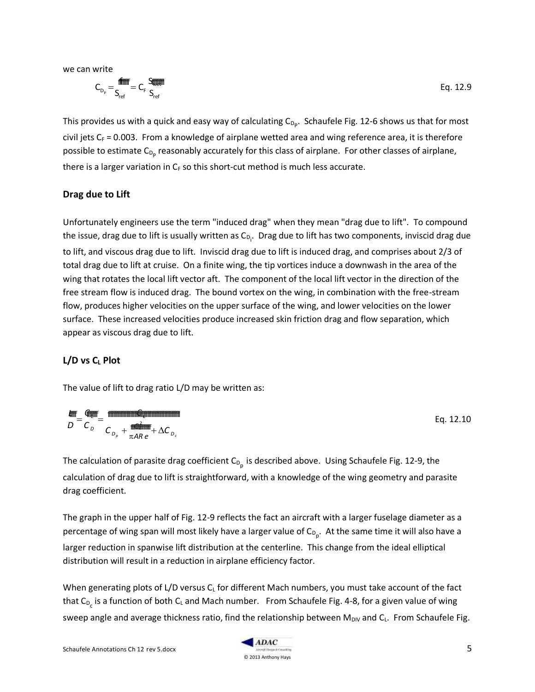we can write

$$
\text{C}_{_{D_{\rho}}} \!=\! \! \frac{\text{matrix}}{\text{S}_{\text{ref}}}= \text{C}_{\text{F}} \frac{\text{S}_{\text{eff}}}{\text{S}_{\text{ref}}}
$$

This provides us with a quick and easy way of calculating  $C_{D_p}$ . Schaufele Fig. 12-6 shows us that for most civil jets  $C_F = 0.003$ . From a knowledge of airplane wetted area and wing reference area, it is therefore possible to estimate C<sub>D<sub>P</sub> reasonably accurately for this class of airplane. For other classes of airplane,</sub> there is a larger variation in  $C_F$  so this short-cut method is much less accurate.

#### **Drag due to Lift**

Unfortunately engineers use the term "induced drag" when they mean "drag due to lift". To compound the issue, drag due to lift is usually written as C<sub>D<sub>i</sub>. Drag due to lift has two components, inviscid drag due</sub> to lift, and viscous drag due to lift. Inviscid drag due to lift is induced drag, and comprises about 2/3 of total drag due to lift at cruise. On a finite wing, the tip vortices induce a downwash in the area of the wing that rotates the local lift vector aft. The component of the local lift vector in the direction of the free stream flow is induced drag. The bound vortex on the wing, in combination with the free-stream flow, produces higher velocities on the upper surface of the wing, and lower velocities on the lower surface. These increased velocities produce increased skin friction drag and flow separation, which appear as viscous drag due to lift.

#### **L/D vs C<sup>L</sup> Plot**

The value of lift to drag ratio L/D may be written as:

$$
\frac{\text{4.13}}{D} = \frac{\text{4.13}}{C_{D}} = \frac{12.10 \text{ Eq}}{C_{D_{P}} + \frac{\text{4.13}}{12.10}} = 12.10
$$

The calculation of parasite drag coefficient  $\mathsf{C}_{\mathsf{D}_{\mathsf{p}}}$  is described above. Using Schaufele Fig. 12-9, the calculation of drag due to lift is straightforward, with a knowledge of the wing geometry and parasite drag coefficient.

The graph in the upper half of Fig. 12-9 reflects the fact an aircraft with a larger fuselage diameter as a percentage of wing span will most likely have a larger value of  $\mathsf{C}_{\mathsf{D}_{\rho}}.$  At the same time it will also have a larger reduction in spanwise lift distribution at the centerline. This change from the ideal elliptical distribution will result in a reduction in airplane efficiency factor.

When generating plots of L/D versus  $C_L$  for different Mach numbers, you must take account of the fact that C<sub>D<sub>c</sub> is a function of both C<sub>L</sub> and Mach number. From Schaufele Fig. 4-8, for a given value of wing</sub> sweep angle and average thickness ratio, find the relationship between  $M_{\text{DIV}}$  and  $C_L$ . From Schaufele Fig.

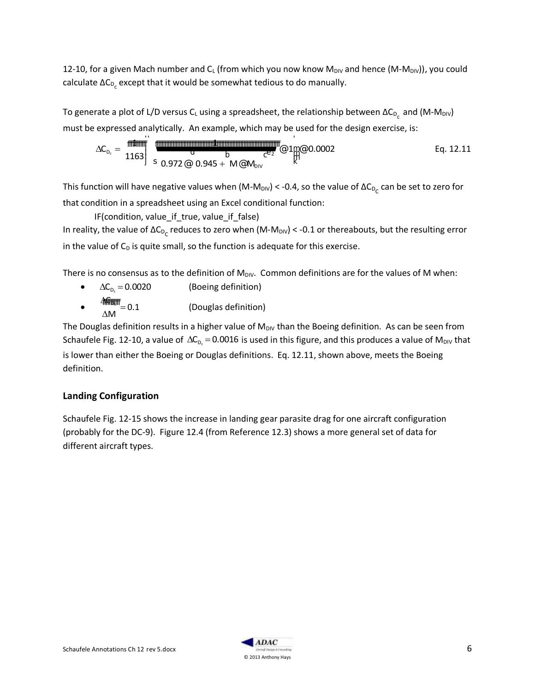12-10, for a given Mach number and  $C_L$  (from which you now know M<sub>DIV</sub> and hence (M-M<sub>DIV</sub>)), you could calculate ΔC $_{\rm{D_c}}$  except that it would be somewhat tedious to do manually.

To generate a plot of L/D versus C<sub>L</sub> using a spreadsheet, the relationship between ΔC<sub>D<sub>c</sub> and (M-M<sub>DIV</sub>)</sub> must be expressed analytically. An example, which may be used for the design exercise, is:

$$
\Delta C_{D_c} = \frac{1163}{1163} \begin{bmatrix} 1 & 0 & 0 & 0 \\ 0 & 0 & 0 & 0 \\ 0.972 & 0.945 + M & 0 & 0 \end{bmatrix} \begin{bmatrix} 0 & 0.0002 & 0 & 0 \\ 0 & 0 & 0 & 0 \\ 0 & 0 & 0 & 0 \end{bmatrix}
$$
 Eq. 12.11

This function will have negative values when (M-M<sub>DIV</sub>) < -0.4, so the value of ΔC<sub>D<sub>C</sub> can be set to zero for</sub> that condition in a spreadsheet using an Excel conditional function:

IF(condition, value\_if\_true, value\_if\_false) In reality, the value of ΔC<sub>D<sub>C</sub> reduces to zero when (M-M<sub>DIV</sub>) < -0.1 or thereabouts, but the resulting error</sub> in the value of  $C_D$  is quite small, so the function is adequate for this exercise.

There is no consensus as to the definition of  $M_{\text{Div}}$ . Common definitions are for the values of M when:

- $\Delta C_{\text{D}_c} = 0.0020$ (Boeing definition)
- $\bullet$  $\frac{\Delta \mathbf{F}}{\Delta \mathbf{F}} = 0.1$  $\Lambda M$ (Douglas definition)

The Douglas definition results in a higher value of  $M_{\text{DIV}}$  than the Boeing definition. As can be seen from Schaufele Fig. 12-10, a value of  $\Delta C_{D_c}$  = 0.0016 is used in this figure, and this produces a value of M<sub>DIV</sub> that is lower than either the Boeing or Douglas definitions. Eq. 12.11, shown above, meets the Boeing definition.

# **Landing Configuration**

Schaufele Fig. 12-15 shows the increase in landing gear parasite drag for one aircraft configuration (probably for the DC-9). Figure 12.4 (from Reference 12.3) shows a more general set of data for different aircraft types.

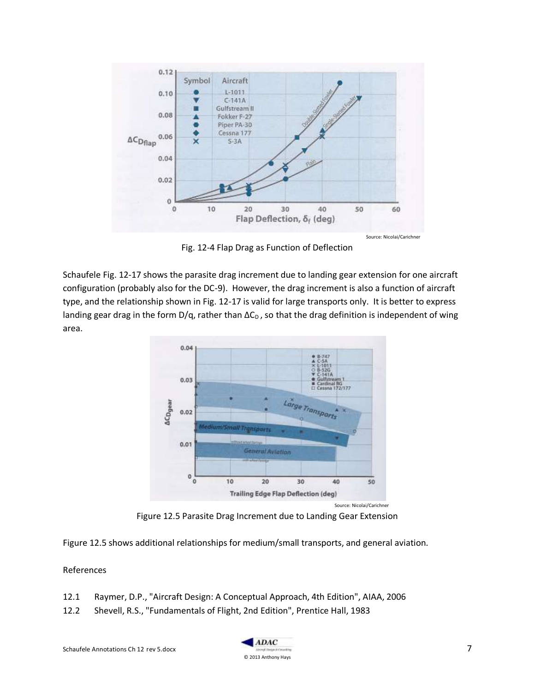

Fig. 12-4 Flap Drag as Function of Deflection

Schaufele Fig. 12-17 shows the parasite drag increment due to landing gear extension for one aircraft configuration (probably also for the DC-9). However, the drag increment is also a function of aircraft type, and the relationship shown in Fig. 12-17 is valid for large transports only. It is better to express landing gear drag in the form  $D/q$ , rather than  $\Delta C_D$ , so that the drag definition is independent of wing area.



Figure 12.5 Parasite Drag Increment due to Landing Gear Extension

Figure 12.5 shows additional relationships for medium/small transports, and general aviation.

### References

- 12.1 Raymer, D.P., "Aircraft Design: A Conceptual Approach, 4th Edition", AIAA, 2006
- 12.2 Shevell, R.S., "Fundamentals of Flight, 2nd Edition", Prentice Hall, 1983